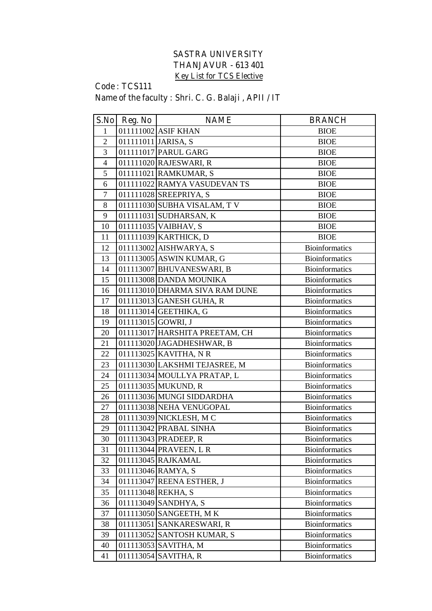## **SASTRA UNIVERSITY THANJAVUR - 613 401 Key List for TCS Elective**

## **Code : TCS111**

**Name of the faculty : Shri. C. G. Balaji , APII / IT**

|                | S.No Reg. No        | <b>NAME</b>                    | <b>BRANCH</b>         |
|----------------|---------------------|--------------------------------|-----------------------|
| $\mathbf{1}$   |                     | 011111002 ASIF KHAN            | <b>BIOE</b>           |
| $\overline{2}$ | 011111011 JARISA, S |                                | <b>BIOE</b>           |
| 3              |                     | 011111017 PARUL GARG           | <b>BIOE</b>           |
| $\overline{4}$ |                     | 011111020 RAJESWARI, R         | <b>BIOE</b>           |
| 5              |                     | 011111021 RAMKUMAR, S          | <b>BIOE</b>           |
| 6              |                     | 011111022 RAMYA VASUDEVAN TS   | <b>BIOE</b>           |
| $\tau$         |                     | 011111028 SREEPRIYA, S         | <b>BIOE</b>           |
| 8              |                     | 011111030 SUBHA VISALAM, TV    | <b>BIOE</b>           |
| 9              |                     | 011111031 SUDHARSAN, K         | <b>BIOE</b>           |
| 10             |                     | 011111035 VAIBHAV, S           | <b>BIOE</b>           |
| 11             |                     | 011111039 KARTHICK, D          | <b>BIOE</b>           |
| 12             |                     | 011113002 AISHWARYA, S         | <b>Bioinformatics</b> |
| 13             |                     | 011113005 ASWIN KUMAR, G       | <b>Bioinformatics</b> |
| 14             |                     | 011113007 BHUVANESWARI, B      | <b>Bioinformatics</b> |
| 15             |                     | 011113008 DANDA MOUNIKA        | <b>Bioinformatics</b> |
| 16             |                     | 011113010 DHARMA SIVA RAM DUNE | <b>Bioinformatics</b> |
| 17             |                     | 011113013 GANESH GUHA, R       | <b>Bioinformatics</b> |
| 18             |                     | 011113014 GEETHIKA, G          | <b>Bioinformatics</b> |
| 19             | 011113015 GOWRI, J  |                                | <b>Bioinformatics</b> |
| 20             |                     | 011113017 HARSHITA PREETAM, CH | <b>Bioinformatics</b> |
| 21             |                     | 011113020 JAGADHESHWAR, B      | <b>Bioinformatics</b> |
| 22             |                     | 011113025 KAVITHA, NR          | <b>Bioinformatics</b> |
| 23             |                     | 011113030 LAKSHMI TEJASREE, M  | <b>Bioinformatics</b> |
| 24             |                     | 011113034 MOULLYA PRATAP, L    | <b>Bioinformatics</b> |
| 25             |                     | 011113035 MUKUND, R            | <b>Bioinformatics</b> |
| 26             |                     | 011113036 MUNGI SIDDARDHA      | <b>Bioinformatics</b> |
| 27             |                     | 011113038 NEHA VENUGOPAL       | <b>Bioinformatics</b> |
| 28             |                     | 011113039 NICKLESH, MC         | <b>Bioinformatics</b> |
| 29             |                     | 011113042 PRABAL SINHA         | <b>Bioinformatics</b> |
| 30             |                     | 011113043 PRADEEP, R           | Bioinformatics        |
| 31             |                     | 011113044 PRAVEEN, L R         | <b>Bioinformatics</b> |
| 32             |                     | 011113045 RAJKAMAL             | <b>Bioinformatics</b> |
| 33             |                     | 011113046 RAMYA, S             | <b>Bioinformatics</b> |
| 34             |                     | 011113047 REENA ESTHER, J      | <b>Bioinformatics</b> |
| 35             |                     | 011113048 REKHA, S             | <b>Bioinformatics</b> |
| 36             |                     | 011113049 SANDHYA, S           | <b>Bioinformatics</b> |
| 37             |                     | 011113050 SANGEETH, MK         | <b>Bioinformatics</b> |
| 38             |                     | 011113051 SANKARESWARI, R      | <b>Bioinformatics</b> |
| 39             |                     | 011113052 SANTOSH KUMAR, S     | <b>Bioinformatics</b> |
| 40             |                     | 011113053 SAVITHA, M           | <b>Bioinformatics</b> |
| 41             |                     | 011113054 SAVITHA, R           | <b>Bioinformatics</b> |